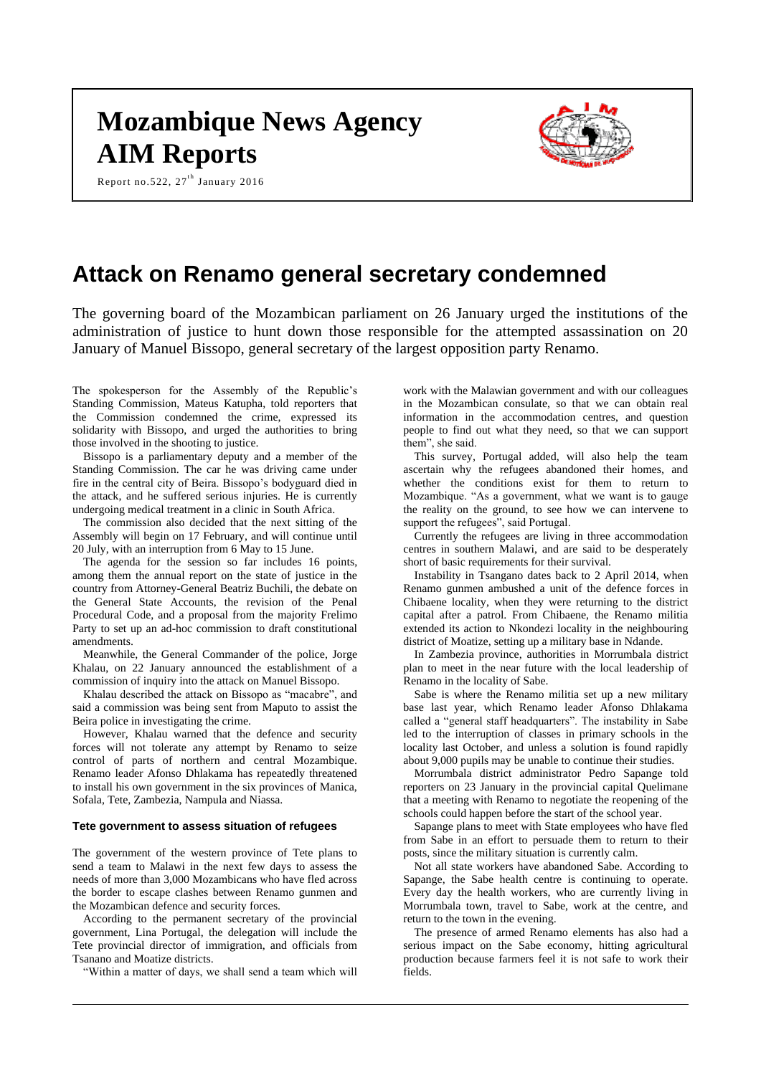# **Mozambique News Agency AIM Reports**

Report no.522,  $27<sup>th</sup>$  January 2016



## **Attack on Renamo general secretary condemned**

The governing board of the Mozambican parliament on 26 January urged the institutions of the administration of justice to hunt down those responsible for the attempted assassination on 20 January of Manuel Bissopo, general secretary of the largest opposition party Renamo.

The spokesperson for the Assembly of the Republic's Standing Commission, Mateus Katupha, told reporters that the Commission condemned the crime, expressed its solidarity with Bissopo, and urged the authorities to bring those involved in the shooting to justice.

Bissopo is a parliamentary deputy and a member of the Standing Commission. The car he was driving came under fire in the central city of Beira. Bissopo's bodyguard died in the attack, and he suffered serious injuries. He is currently undergoing medical treatment in a clinic in South Africa.

The commission also decided that the next sitting of the Assembly will begin on 17 February, and will continue until 20 July, with an interruption from 6 May to 15 June.

The agenda for the session so far includes 16 points, among them the annual report on the state of justice in the country from Attorney-General Beatriz Buchili, the debate on the General State Accounts, the revision of the Penal Procedural Code, and a proposal from the majority Frelimo Party to set up an ad-hoc commission to draft constitutional amendments.

Meanwhile, the General Commander of the police, Jorge Khalau, on 22 January announced the establishment of a commission of inquiry into the attack on Manuel Bissopo.

Khalau described the attack on Bissopo as "macabre", and said a commission was being sent from Maputo to assist the Beira police in investigating the crime.

However, Khalau warned that the defence and security forces will not tolerate any attempt by Renamo to seize control of parts of northern and central Mozambique. Renamo leader Afonso Dhlakama has repeatedly threatened to install his own government in the six provinces of Manica, Sofala, Tete, Zambezia, Nampula and Niassa.

#### **Tete government to assess situation of refugees**

The government of the western province of Tete plans to send a team to Malawi in the next few days to assess the needs of more than 3,000 Mozambicans who have fled across the border to escape clashes between Renamo gunmen and the Mozambican defence and security forces.

According to the permanent secretary of the provincial government, Lina Portugal, the delegation will include the Tete provincial director of immigration, and officials from Tsanano and Moatize districts.

"Within a matter of days, we shall send a team which will

work with the Malawian government and with our colleagues in the Mozambican consulate, so that we can obtain real information in the accommodation centres, and question people to find out what they need, so that we can support them", she said.

This survey, Portugal added, will also help the team ascertain why the refugees abandoned their homes, and whether the conditions exist for them to return to Mozambique. "As a government, what we want is to gauge the reality on the ground, to see how we can intervene to support the refugees", said Portugal.

Currently the refugees are living in three accommodation centres in southern Malawi, and are said to be desperately short of basic requirements for their survival.

Instability in Tsangano dates back to 2 April 2014, when Renamo gunmen ambushed a unit of the defence forces in Chibaene locality, when they were returning to the district capital after a patrol. From Chibaene, the Renamo militia extended its action to Nkondezi locality in the neighbouring district of Moatize, setting up a military base in Ndande.

In Zambezia province, authorities in Morrumbala district plan to meet in the near future with the local leadership of Renamo in the locality of Sabe.

Sabe is where the Renamo militia set up a new military base last year, which Renamo leader Afonso Dhlakama called a "general staff headquarters". The instability in Sabe led to the interruption of classes in primary schools in the locality last October, and unless a solution is found rapidly about 9,000 pupils may be unable to continue their studies.

Morrumbala district administrator Pedro Sapange told reporters on 23 January in the provincial capital Quelimane that a meeting with Renamo to negotiate the reopening of the schools could happen before the start of the school year.

Sapange plans to meet with State employees who have fled from Sabe in an effort to persuade them to return to their posts, since the military situation is currently calm.

Not all state workers have abandoned Sabe. According to Sapange, the Sabe health centre is continuing to operate. Every day the health workers, who are currently living in Morrumbala town, travel to Sabe, work at the centre, and return to the town in the evening.

The presence of armed Renamo elements has also had a serious impact on the Sabe economy, hitting agricultural production because farmers feel it is not safe to work their fields.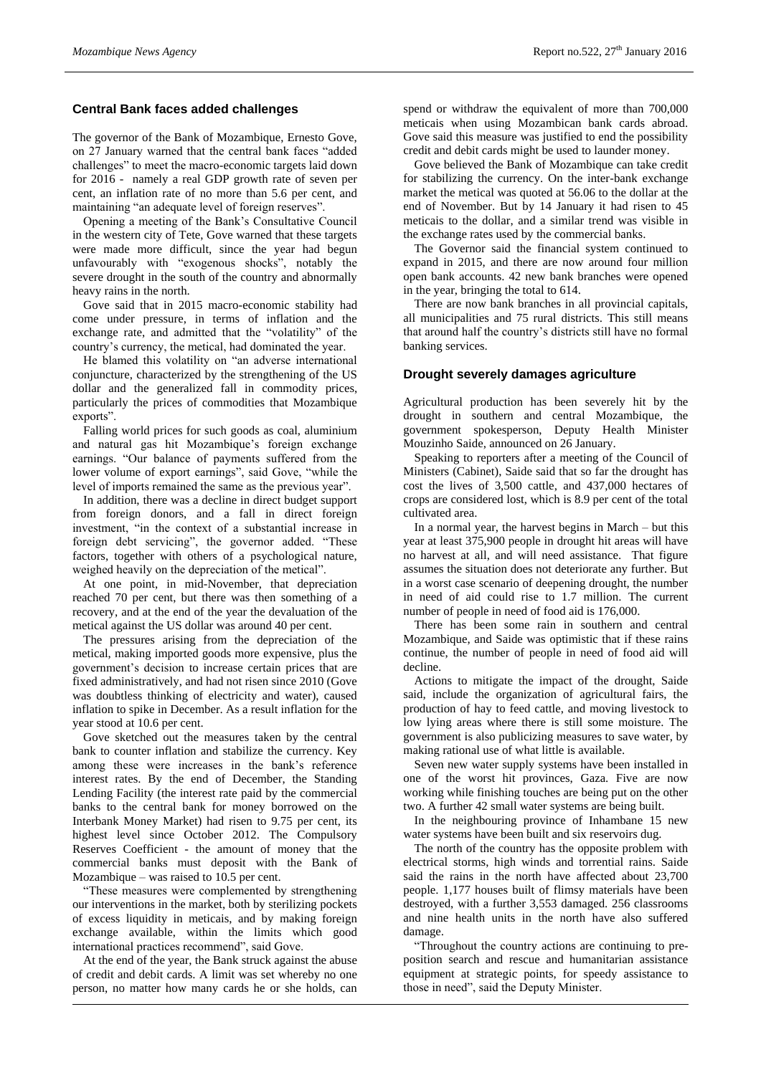#### **Central Bank faces added challenges**

The governor of the Bank of Mozambique, Ernesto Gove, on 27 January warned that the central bank faces "added challenges" to meet the macro-economic targets laid down for 2016 - namely a real GDP growth rate of seven per cent, an inflation rate of no more than 5.6 per cent, and maintaining "an adequate level of foreign reserves".

Opening a meeting of the Bank's Consultative Council in the western city of Tete, Gove warned that these targets were made more difficult, since the year had begun unfavourably with "exogenous shocks", notably the severe drought in the south of the country and abnormally heavy rains in the north.

Gove said that in 2015 macro-economic stability had come under pressure, in terms of inflation and the exchange rate, and admitted that the "volatility" of the country's currency, the metical, had dominated the year.

He blamed this volatility on "an adverse international conjuncture, characterized by the strengthening of the US dollar and the generalized fall in commodity prices, particularly the prices of commodities that Mozambique exports".

Falling world prices for such goods as coal, aluminium and natural gas hit Mozambique's foreign exchange earnings. "Our balance of payments suffered from the lower volume of export earnings", said Gove, "while the level of imports remained the same as the previous year".

In addition, there was a decline in direct budget support from foreign donors, and a fall in direct foreign investment, "in the context of a substantial increase in foreign debt servicing", the governor added. "These factors, together with others of a psychological nature, weighed heavily on the depreciation of the metical".

At one point, in mid-November, that depreciation reached 70 per cent, but there was then something of a recovery, and at the end of the year the devaluation of the metical against the US dollar was around 40 per cent.

The pressures arising from the depreciation of the metical, making imported goods more expensive, plus the government's decision to increase certain prices that are fixed administratively, and had not risen since 2010 (Gove was doubtless thinking of electricity and water), caused inflation to spike in December. As a result inflation for the year stood at 10.6 per cent.

Gove sketched out the measures taken by the central bank to counter inflation and stabilize the currency. Key among these were increases in the bank's reference interest rates. By the end of December, the Standing Lending Facility (the interest rate paid by the commercial banks to the central bank for money borrowed on the Interbank Money Market) had risen to 9.75 per cent, its highest level since October 2012. The Compulsory Reserves Coefficient - the amount of money that the commercial banks must deposit with the Bank of Mozambique – was raised to 10.5 per cent.

"These measures were complemented by strengthening our interventions in the market, both by sterilizing pockets of excess liquidity in meticais, and by making foreign exchange available, within the limits which good international practices recommend", said Gove.

At the end of the year, the Bank struck against the abuse of credit and debit cards. A limit was set whereby no one person, no matter how many cards he or she holds, can spend or withdraw the equivalent of more than 700,000 meticais when using Mozambican bank cards abroad. Gove said this measure was justified to end the possibility credit and debit cards might be used to launder money.

Gove believed the Bank of Mozambique can take credit for stabilizing the currency. On the inter-bank exchange market the metical was quoted at 56.06 to the dollar at the end of November. But by 14 January it had risen to 45 meticais to the dollar, and a similar trend was visible in the exchange rates used by the commercial banks.

The Governor said the financial system continued to expand in 2015, and there are now around four million open bank accounts. 42 new bank branches were opened in the year, bringing the total to 614.

There are now bank branches in all provincial capitals, all municipalities and 75 rural districts. This still means that around half the country's districts still have no formal banking services.

#### **Drought severely damages agriculture**

Agricultural production has been severely hit by the drought in southern and central Mozambique, the government spokesperson, Deputy Health Minister Mouzinho Saide, announced on 26 January.

Speaking to reporters after a meeting of the Council of Ministers (Cabinet), Saide said that so far the drought has cost the lives of 3,500 cattle, and 437,000 hectares of crops are considered lost, which is 8.9 per cent of the total cultivated area.

In a normal year, the harvest begins in March – but this year at least 375,900 people in drought hit areas will have no harvest at all, and will need assistance. That figure assumes the situation does not deteriorate any further. But in a worst case scenario of deepening drought, the number in need of aid could rise to 1.7 million. The current number of people in need of food aid is 176,000.

There has been some rain in southern and central Mozambique, and Saide was optimistic that if these rains continue, the number of people in need of food aid will decline.

Actions to mitigate the impact of the drought, Saide said, include the organization of agricultural fairs, the production of hay to feed cattle, and moving livestock to low lying areas where there is still some moisture. The government is also publicizing measures to save water, by making rational use of what little is available.

Seven new water supply systems have been installed in one of the worst hit provinces, Gaza. Five are now working while finishing touches are being put on the other two. A further 42 small water systems are being built.

In the neighbouring province of Inhambane 15 new water systems have been built and six reservoirs dug.

The north of the country has the opposite problem with electrical storms, high winds and torrential rains. Saide said the rains in the north have affected about 23,700 people. 1,177 houses built of flimsy materials have been destroyed, with a further 3,553 damaged. 256 classrooms and nine health units in the north have also suffered damage.

"Throughout the country actions are continuing to preposition search and rescue and humanitarian assistance equipment at strategic points, for speedy assistance to those in need", said the Deputy Minister.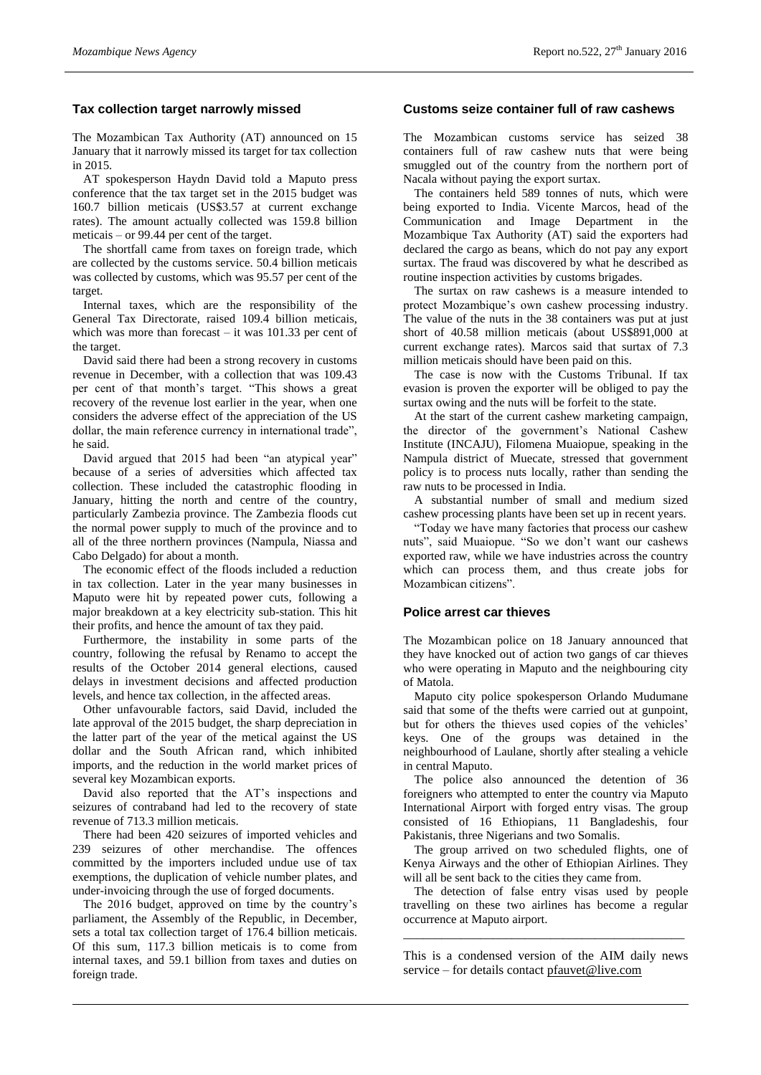#### **Tax collection target narrowly missed**

The Mozambican Tax Authority (AT) announced on 15 January that it narrowly missed its target for tax collection in 2015.

AT spokesperson Haydn David told a Maputo press conference that the tax target set in the 2015 budget was 160.7 billion meticais (US\$3.57 at current exchange rates). The amount actually collected was 159.8 billion meticais – or 99.44 per cent of the target.

The shortfall came from taxes on foreign trade, which are collected by the customs service. 50.4 billion meticais was collected by customs, which was 95.57 per cent of the target.

Internal taxes, which are the responsibility of the General Tax Directorate, raised 109.4 billion meticais, which was more than forecast – it was 101.33 per cent of the target.

David said there had been a strong recovery in customs revenue in December, with a collection that was 109.43 per cent of that month's target. "This shows a great recovery of the revenue lost earlier in the year, when one considers the adverse effect of the appreciation of the US dollar, the main reference currency in international trade", he said.

David argued that 2015 had been "an atypical year" because of a series of adversities which affected tax collection. These included the catastrophic flooding in January, hitting the north and centre of the country, particularly Zambezia province. The Zambezia floods cut the normal power supply to much of the province and to all of the three northern provinces (Nampula, Niassa and Cabo Delgado) for about a month.

The economic effect of the floods included a reduction in tax collection. Later in the year many businesses in Maputo were hit by repeated power cuts, following a major breakdown at a key electricity sub-station. This hit their profits, and hence the amount of tax they paid.

Furthermore, the instability in some parts of the country, following the refusal by Renamo to accept the results of the October 2014 general elections, caused delays in investment decisions and affected production levels, and hence tax collection, in the affected areas.

Other unfavourable factors, said David, included the late approval of the 2015 budget, the sharp depreciation in the latter part of the year of the metical against the US dollar and the South African rand, which inhibited imports, and the reduction in the world market prices of several key Mozambican exports.

David also reported that the AT's inspections and seizures of contraband had led to the recovery of state revenue of 713.3 million meticais.

There had been 420 seizures of imported vehicles and 239 seizures of other merchandise. The offences committed by the importers included undue use of tax exemptions, the duplication of vehicle number plates, and under-invoicing through the use of forged documents.

The 2016 budget, approved on time by the country's parliament, the Assembly of the Republic, in December, sets a total tax collection target of 176.4 billion meticais. Of this sum, 117.3 billion meticais is to come from internal taxes, and 59.1 billion from taxes and duties on foreign trade.

#### **Customs seize container full of raw cashews**

The Mozambican customs service has seized 38 containers full of raw cashew nuts that were being smuggled out of the country from the northern port of Nacala without paying the export surtax.

The containers held 589 tonnes of nuts, which were being exported to India. Vicente Marcos, head of the Communication and Image Department in the Mozambique Tax Authority (AT) said the exporters had declared the cargo as beans, which do not pay any export surtax. The fraud was discovered by what he described as routine inspection activities by customs brigades.

The surtax on raw cashews is a measure intended to protect Mozambique's own cashew processing industry. The value of the nuts in the 38 containers was put at just short of 40.58 million meticais (about US\$891,000 at current exchange rates). Marcos said that surtax of 7.3 million meticais should have been paid on this.

The case is now with the Customs Tribunal. If tax evasion is proven the exporter will be obliged to pay the surtax owing and the nuts will be forfeit to the state.

At the start of the current cashew marketing campaign, the director of the government's National Cashew Institute (INCAJU), Filomena Muaiopue, speaking in the Nampula district of Muecate, stressed that government policy is to process nuts locally, rather than sending the raw nuts to be processed in India.

A substantial number of small and medium sized cashew processing plants have been set up in recent years.

"Today we have many factories that process our cashew nuts", said Muaiopue. "So we don't want our cashews exported raw, while we have industries across the country which can process them, and thus create jobs for Mozambican citizens".

#### **Police arrest car thieves**

The Mozambican police on 18 January announced that they have knocked out of action two gangs of car thieves who were operating in Maputo and the neighbouring city of Matola.

Maputo city police spokesperson Orlando Mudumane said that some of the thefts were carried out at gunpoint, but for others the thieves used copies of the vehicles' keys. One of the groups was detained in the neighbourhood of Laulane, shortly after stealing a vehicle in central Maputo.

The police also announced the detention of 36 foreigners who attempted to enter the country via Maputo International Airport with forged entry visas. The group consisted of 16 Ethiopians, 11 Bangladeshis, four Pakistanis, three Nigerians and two Somalis.

The group arrived on two scheduled flights, one of Kenya Airways and the other of Ethiopian Airlines. They will all be sent back to the cities they came from.

The detection of false entry visas used by people travelling on these two airlines has become a regular occurrence at Maputo airport.

This is a condensed version of the AIM daily news service – for details contact [pfauvet@live.com](mailto:pfauvet@live.com)

\_\_\_\_\_\_\_\_\_\_\_\_\_\_\_\_\_\_\_\_\_\_\_\_\_\_\_\_\_\_\_\_\_\_\_\_\_\_\_\_\_\_\_\_